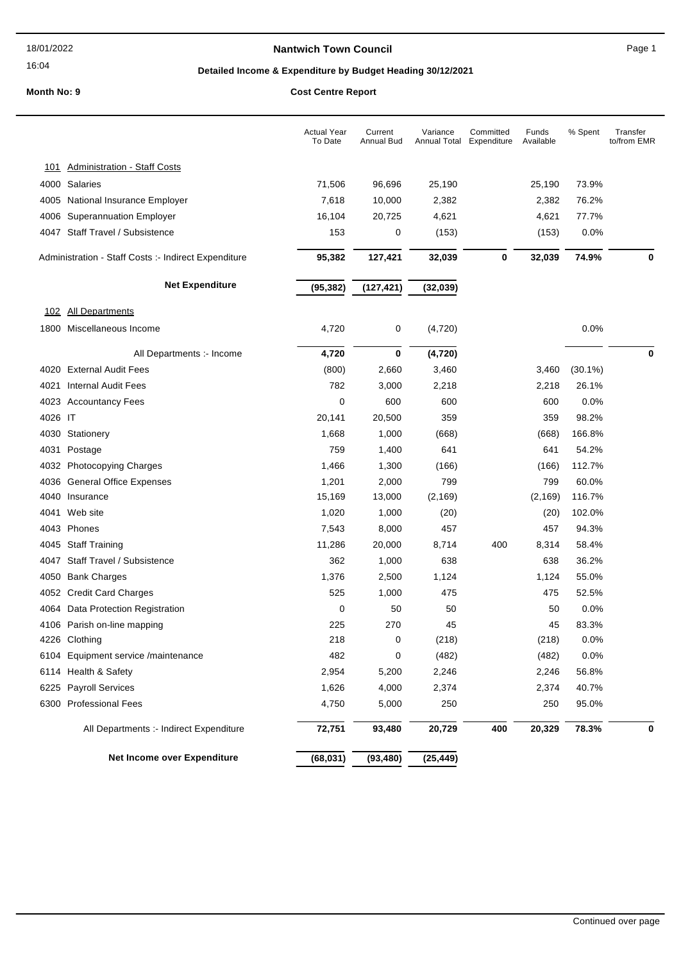### 16:04

### **Nantwich Town Council Nantwich Town Council Page 1**

# **Detailed Income & Expenditure by Budget Heading 30/12/2021**

|              |                                                      | <b>Actual Year</b><br>To Date | Current<br>Annual Bud | Variance<br>Annual Total Expenditure | Committed | Funds<br>Available | % Spent    | Transfer<br>to/from EMR |
|--------------|------------------------------------------------------|-------------------------------|-----------------------|--------------------------------------|-----------|--------------------|------------|-------------------------|
| <u> 101</u>  | <b>Administration - Staff Costs</b>                  |                               |                       |                                      |           |                    |            |                         |
|              | 4000 Salaries                                        | 71,506                        | 96,696                | 25,190                               |           | 25,190             | 73.9%      |                         |
|              | 4005 National Insurance Employer                     | 7,618                         | 10,000                | 2,382                                |           | 2,382              | 76.2%      |                         |
|              | 4006 Superannuation Employer                         | 16,104                        | 20,725                | 4,621                                |           | 4,621              | 77.7%      |                         |
|              | 4047 Staff Travel / Subsistence                      | 153                           | 0                     | (153)                                |           | (153)              | 0.0%       |                         |
|              |                                                      |                               |                       |                                      |           |                    |            |                         |
|              | Administration - Staff Costs :- Indirect Expenditure | 95,382                        | 127,421               | 32,039                               | $\bf{0}$  | 32,039             | 74.9%      | 0                       |
|              | <b>Net Expenditure</b>                               | (95, 382)                     | (127, 421)            | (32, 039)                            |           |                    |            |                         |
| <u> 102 </u> | <b>All Departments</b>                               |                               |                       |                                      |           |                    |            |                         |
|              | 1800 Miscellaneous Income                            | 4,720                         | 0                     | (4, 720)                             |           |                    | 0.0%       |                         |
|              | All Departments :- Income                            | 4,720                         | 0                     | (4, 720)                             |           |                    |            | 0                       |
|              | 4020 External Audit Fees                             | (800)                         | 2,660                 | 3,460                                |           | 3,460              | $(30.1\%)$ |                         |
| 4021         | <b>Internal Audit Fees</b>                           | 782                           | 3,000                 | 2,218                                |           | 2,218              | 26.1%      |                         |
|              | 4023 Accountancy Fees                                | 0                             | 600                   | 600                                  |           | 600                | 0.0%       |                         |
| 4026 IT      |                                                      | 20,141                        | 20,500                | 359                                  |           | 359                | 98.2%      |                         |
|              | 4030 Stationery                                      | 1,668                         | 1,000                 | (668)                                |           | (668)              | 166.8%     |                         |
| 4031         | Postage                                              | 759                           | 1,400                 | 641                                  |           | 641                | 54.2%      |                         |
|              | 4032 Photocopying Charges                            | 1,466                         | 1,300                 | (166)                                |           | (166)              | 112.7%     |                         |
|              | 4036 General Office Expenses                         | 1,201                         | 2,000                 | 799                                  |           | 799                | 60.0%      |                         |
|              | 4040 Insurance                                       | 15,169                        | 13,000                | (2, 169)                             |           | (2, 169)           | 116.7%     |                         |
| 4041         | Web site                                             | 1,020                         | 1,000                 | (20)                                 |           | (20)               | 102.0%     |                         |
|              | 4043 Phones                                          | 7,543                         | 8,000                 | 457                                  |           | 457                | 94.3%      |                         |
|              | 4045 Staff Training                                  | 11,286                        | 20,000                | 8,714                                | 400       | 8,314              | 58.4%      |                         |
| 4047         | Staff Travel / Subsistence                           | 362                           | 1,000                 | 638                                  |           | 638                | 36.2%      |                         |
|              | 4050 Bank Charges                                    | 1,376                         | 2,500                 | 1,124                                |           | 1,124              | 55.0%      |                         |
|              | 4052 Credit Card Charges                             | 525                           | 1,000                 | 475                                  |           | 475                | 52.5%      |                         |
|              | 4064 Data Protection Registration                    | 0                             | 50                    | 50                                   |           | 50                 | 0.0%       |                         |
|              | 4106 Parish on-line mapping                          | 225                           | 270                   | 45                                   |           | 45                 | 83.3%      |                         |
|              | 4226 Clothing                                        | 218                           | 0                     | (218)                                |           | (218)              | 0.0%       |                         |
|              | 6104 Equipment service /maintenance                  | 482                           | 0                     | (482)                                |           | (482)              | 0.0%       |                         |
|              | 6114 Health & Safety                                 | 2,954                         | 5,200                 | 2,246                                |           | 2,246              | 56.8%      |                         |
|              | 6225 Payroll Services                                | 1,626                         | 4,000                 | 2,374                                |           | 2,374              | 40.7%      |                         |
|              | 6300 Professional Fees                               | 4,750                         | 5,000                 | 250                                  |           | 250                | 95.0%      |                         |
|              | All Departments :- Indirect Expenditure              | 72,751                        | 93,480                | 20,729                               | 400       | 20,329             | 78.3%      | 0                       |
|              | Net Income over Expenditure                          | (68, 031)                     | (93, 480)             | (25, 449)                            |           |                    |            |                         |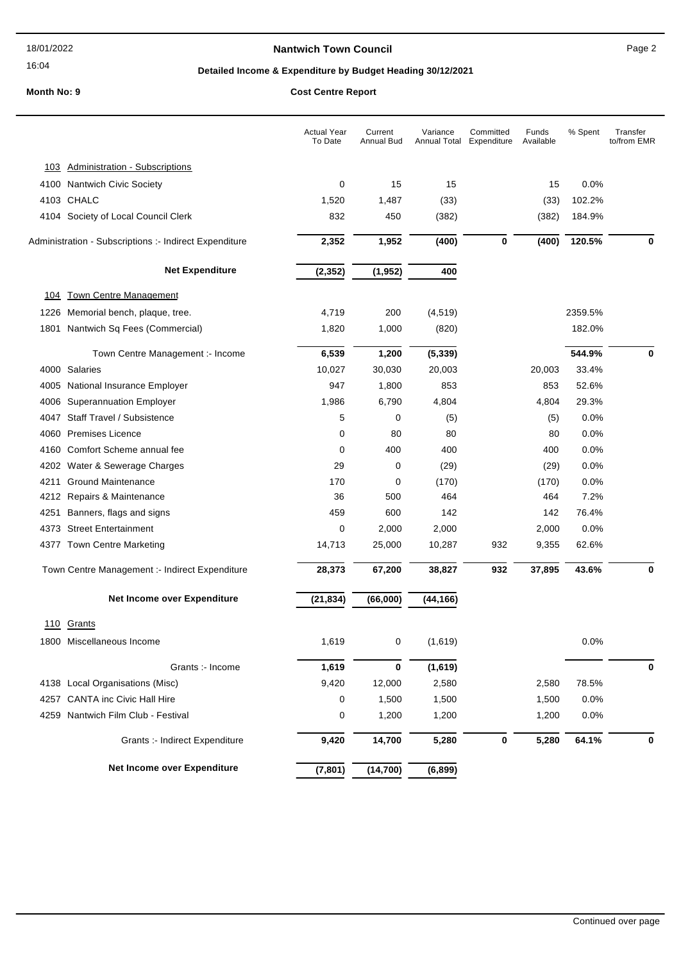### 16:04

### **Nantwich Town Council Nantwich Town Council Page 2**

# **Detailed Income & Expenditure by Budget Heading 30/12/2021**

|             |                                                        | <b>Actual Year</b><br>To Date | Current<br>Annual Bud | Variance<br>Annual Total | Committed<br>Expenditure | Funds<br>Available | % Spent | Transfer<br>to/from EMR |
|-------------|--------------------------------------------------------|-------------------------------|-----------------------|--------------------------|--------------------------|--------------------|---------|-------------------------|
| 103         | <b>Administration - Subscriptions</b>                  |                               |                       |                          |                          |                    |         |                         |
|             | 4100 Nantwich Civic Society                            | 0                             | 15                    | 15                       |                          | 15                 | 0.0%    |                         |
|             | 4103 CHALC                                             | 1,520                         | 1,487                 | (33)                     |                          | (33)               | 102.2%  |                         |
|             | 4104 Society of Local Council Clerk                    | 832                           | 450                   | (382)                    |                          | (382)              | 184.9%  |                         |
|             | Administration - Subscriptions :- Indirect Expenditure | 2,352                         | 1,952                 | (400)                    | 0                        | (400)              | 120.5%  | $\bf{0}$                |
|             | <b>Net Expenditure</b>                                 | (2, 352)                      | (1, 952)              | 400                      |                          |                    |         |                         |
| <u> 104</u> | <b>Town Centre Management</b>                          |                               |                       |                          |                          |                    |         |                         |
| 1226        | Memorial bench, plaque, tree.                          | 4,719                         | 200                   | (4, 519)                 |                          |                    | 2359.5% |                         |
| 1801        | Nantwich Sq Fees (Commercial)                          | 1,820                         | 1,000                 | (820)                    |                          |                    | 182.0%  |                         |
|             | Town Centre Management :- Income                       | 6,539                         | 1,200                 | (5, 339)                 |                          |                    | 544.9%  | 0                       |
|             | 4000 Salaries                                          | 10,027                        | 30,030                | 20,003                   |                          | 20,003             | 33.4%   |                         |
| 4005        | National Insurance Employer                            | 947                           | 1,800                 | 853                      |                          | 853                | 52.6%   |                         |
|             | 4006 Superannuation Employer                           | 1,986                         | 6,790                 | 4,804                    |                          | 4,804              | 29.3%   |                         |
| 4047        | Staff Travel / Subsistence                             | 5                             | 0                     | (5)                      |                          | (5)                | 0.0%    |                         |
| 4060        | <b>Premises Licence</b>                                | 0                             | 80                    | 80                       |                          | 80                 | 0.0%    |                         |
| 4160        | Comfort Scheme annual fee                              | 0                             | 400                   | 400                      |                          | 400                | 0.0%    |                         |
| 4202        | Water & Sewerage Charges                               | 29                            | 0                     | (29)                     |                          | (29)               | 0.0%    |                         |
| 4211        | <b>Ground Maintenance</b>                              | 170                           | 0                     | (170)                    |                          | (170)              | 0.0%    |                         |
|             | 4212 Repairs & Maintenance                             | 36                            | 500                   | 464                      |                          | 464                | 7.2%    |                         |
| 4251        | Banners, flags and signs                               | 459                           | 600                   | 142                      |                          | 142                | 76.4%   |                         |
| 4373        | <b>Street Entertainment</b>                            | 0                             | 2,000                 | 2,000                    |                          | 2,000              | 0.0%    |                         |
|             | 4377 Town Centre Marketing                             | 14,713                        | 25,000                | 10,287                   | 932                      | 9,355              | 62.6%   |                         |
|             | Town Centre Management :- Indirect Expenditure         | 28,373                        | 67,200                | 38,827                   | 932                      | 37,895             | 43.6%   | 0                       |
|             | Net Income over Expenditure                            | (21, 834)                     | (66,000)              | (44, 166)                |                          |                    |         |                         |
| 110         | Grants                                                 |                               |                       |                          |                          |                    |         |                         |
|             | 1800 Miscellaneous Income                              | 1,619                         | 0                     | (1,619)                  |                          |                    | $0.0\%$ |                         |
|             | Grants :- Income                                       | 1,619                         | 0                     | (1,619)                  |                          |                    |         | 0                       |
|             | 4138 Local Organisations (Misc)                        | 9,420                         | 12,000                | 2,580                    |                          | 2,580              | 78.5%   |                         |
| 4257        | <b>CANTA inc Civic Hall Hire</b>                       | 0                             | 1,500                 | 1,500                    |                          | 1,500              | 0.0%    |                         |
| 4259        | Nantwich Film Club - Festival                          | 0                             | 1,200                 | 1,200                    |                          | 1,200              | 0.0%    |                         |
|             | Grants :- Indirect Expenditure                         | 9,420                         | 14,700                | 5,280                    | $\pmb{0}$                | 5,280              | 64.1%   | 0                       |
|             | Net Income over Expenditure                            | (7, 801)                      | (14, 700)             | (6, 899)                 |                          |                    |         |                         |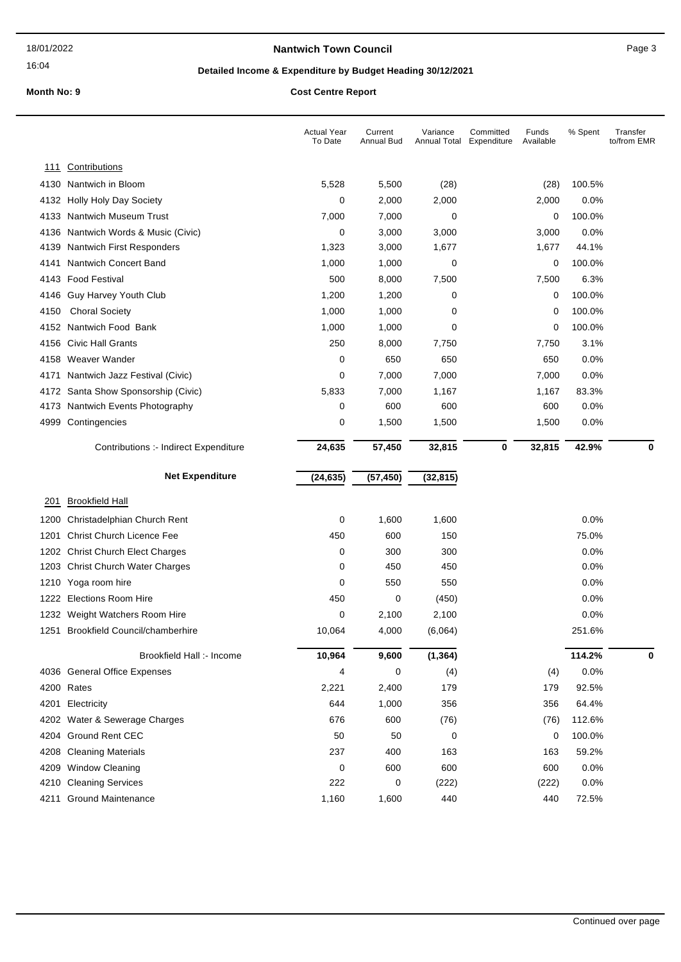### **Nantwich Town Council Nantwich Town Council Page 3**

# **Detailed Income & Expenditure by Budget Heading 30/12/2021**

|              |                                                                          | <b>Actual Year</b><br>To Date | Current<br>Annual Bud | Variance<br>Annual Total | Committed<br>Expenditure | Funds<br>Available | % Spent      | Transfer<br>to/from EMR |
|--------------|--------------------------------------------------------------------------|-------------------------------|-----------------------|--------------------------|--------------------------|--------------------|--------------|-------------------------|
| <u> 111</u>  | Contributions                                                            |                               |                       |                          |                          |                    |              |                         |
| 4130         | Nantwich in Bloom                                                        | 5,528                         | 5,500                 | (28)                     |                          | (28)               | 100.5%       |                         |
| 4132         | Holly Holy Day Society                                                   | 0                             | 2,000                 | 2,000                    |                          | 2,000              | 0.0%         |                         |
| 4133         | <b>Nantwich Museum Trust</b>                                             | 7,000                         | 7,000                 | 0                        |                          | 0                  | 100.0%       |                         |
| 4136         | Nantwich Words & Music (Civic)                                           | 0                             | 3,000                 | 3,000                    |                          | 3,000              | 0.0%         |                         |
| 4139         | Nantwich First Responders                                                | 1,323                         | 3,000                 | 1,677                    |                          | 1,677              | 44.1%        |                         |
| 4141         | <b>Nantwich Concert Band</b>                                             | 1,000                         | 1,000                 | 0                        |                          | 0                  | 100.0%       |                         |
| 4143         | <b>Food Festival</b>                                                     | 500                           | 8,000                 | 7,500                    |                          | 7,500              | 6.3%         |                         |
| 4146         | Guy Harvey Youth Club                                                    | 1,200                         | 1,200                 | 0                        |                          | 0                  | 100.0%       |                         |
| 4150         | <b>Choral Society</b>                                                    | 1,000                         | 1,000                 | 0                        |                          | 0                  | 100.0%       |                         |
| 4152         | Nantwich Food Bank                                                       | 1,000                         | 1,000                 | 0                        |                          | 0                  | 100.0%       |                         |
| 4156         | <b>Civic Hall Grants</b>                                                 | 250                           | 8,000                 | 7,750                    |                          | 7,750              | 3.1%         |                         |
| 4158         | Weaver Wander                                                            | 0                             | 650                   | 650                      |                          | 650                | 0.0%         |                         |
| 4171         | Nantwich Jazz Festival (Civic)                                           | 0                             | 7,000                 | 7,000                    |                          | 7,000              | 0.0%         |                         |
| 4172         | Santa Show Sponsorship (Civic)                                           | 5,833                         | 7,000                 | 1,167                    |                          | 1,167              | 83.3%        |                         |
| 4173         | Nantwich Events Photography                                              | 0                             | 600                   | 600                      |                          | 600                | 0.0%         |                         |
|              | 4999 Contingencies                                                       | 0                             | 1,500                 | 1,500                    |                          | 1,500              | 0.0%         |                         |
|              | Contributions :- Indirect Expenditure                                    | 24,635                        | 57,450                | 32,815                   | 0                        | 32,815             | 42.9%        | 0                       |
|              |                                                                          |                               |                       |                          |                          |                    |              |                         |
|              | <b>Net Expenditure</b>                                                   | (24, 635)                     | (57, 450)             | (32, 815)                |                          |                    |              |                         |
| 201          |                                                                          |                               |                       |                          |                          |                    |              |                         |
|              | <b>Brookfield Hall</b>                                                   |                               |                       |                          |                          |                    |              |                         |
| 1200         | Christadelphian Church Rent                                              | 0                             | 1,600                 | 1,600                    |                          |                    | 0.0%         |                         |
| 1201         | <b>Christ Church Licence Fee</b>                                         | 450                           | 600                   | 150                      |                          |                    | 75.0%        |                         |
| 1202<br>1203 | <b>Christ Church Elect Charges</b><br><b>Christ Church Water Charges</b> | 0<br>0                        | 300<br>450            | 300<br>450               |                          |                    | 0.0%<br>0.0% |                         |
| 1210         |                                                                          | 0                             | 550                   | 550                      |                          |                    | 0.0%         |                         |
| 1222         | Yoga room hire<br><b>Elections Room Hire</b>                             | 450                           | 0                     | (450)                    |                          |                    | 0.0%         |                         |
| 1232         | Weight Watchers Room Hire                                                | 0                             | 2,100                 | 2,100                    |                          |                    | 0.0%         |                         |
| 1251         | <b>Brookfield Council/chamberhire</b>                                    | 10,064                        | 4,000                 | (6,064)                  |                          |                    | 251.6%       |                         |
|              | Brookfield Hall :- Income                                                | 10,964                        | 9,600                 | (1, 364)                 |                          |                    | 114.2%       | 0                       |
|              | 4036 General Office Expenses                                             | 4                             | 0                     |                          |                          |                    | 0.0%         |                         |
|              | 4200 Rates                                                               | 2,221                         | 2,400                 | (4)<br>179               |                          | (4)<br>179         | 92.5%        |                         |
| 4201         | Electricity                                                              | 644                           | 1,000                 | 356                      |                          | 356                | 64.4%        |                         |
| 4202         | Water & Sewerage Charges                                                 | 676                           | 600                   | (76)                     |                          | (76)               | 112.6%       |                         |
|              | 4204 Ground Rent CEC                                                     | 50                            | 50                    | 0                        |                          | 0                  | 100.0%       |                         |
|              | 4208 Cleaning Materials                                                  | 237                           | 400                   | 163                      |                          | 163                | 59.2%        |                         |
| 4209         | <b>Window Cleaning</b>                                                   | 0                             | 600                   | 600                      |                          | 600                | 0.0%         |                         |
| 4210         | <b>Cleaning Services</b>                                                 | 222                           | 0                     | (222)                    |                          | (222)              | 0.0%         |                         |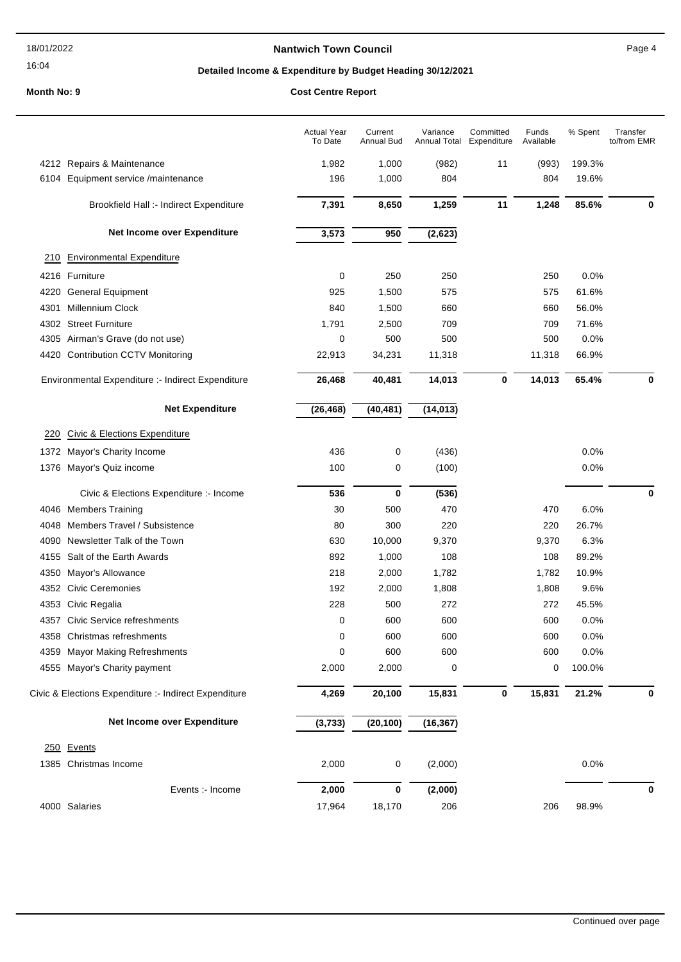### **Nantwich Town Council Council Page 4**

# **Detailed Income & Expenditure by Budget Heading 30/12/2021**

|      |                                                       | <b>Actual Year</b><br>To Date | Current<br>Annual Bud | Variance<br>Annual Total | Committed<br>Expenditure | Funds<br>Available | % Spent | Transfer<br>to/from EMR |
|------|-------------------------------------------------------|-------------------------------|-----------------------|--------------------------|--------------------------|--------------------|---------|-------------------------|
|      | 4212 Repairs & Maintenance                            | 1,982                         | 1,000                 | (982)                    | 11                       | (993)              | 199.3%  |                         |
|      | 6104 Equipment service /maintenance                   | 196                           | 1,000                 | 804                      |                          | 804                | 19.6%   |                         |
|      | Brookfield Hall :- Indirect Expenditure               | 7,391                         | 8,650                 | 1,259                    | 11                       | 1,248              | 85.6%   | 0                       |
|      | Net Income over Expenditure                           | 3,573                         | 950                   | (2,623)                  |                          |                    |         |                         |
| 210  | <b>Environmental Expenditure</b>                      |                               |                       |                          |                          |                    |         |                         |
|      | 4216 Furniture                                        | 0                             | 250                   | 250                      |                          | 250                | 0.0%    |                         |
| 4220 | <b>General Equipment</b>                              | 925                           | 1,500                 | 575                      |                          | 575                | 61.6%   |                         |
| 4301 | Millennium Clock                                      | 840                           | 1,500                 | 660                      |                          | 660                | 56.0%   |                         |
|      | 4302 Street Furniture                                 | 1,791                         | 2,500                 | 709                      |                          | 709                | 71.6%   |                         |
|      | 4305 Airman's Grave (do not use)                      | 0                             | 500                   | 500                      |                          | 500                | 0.0%    |                         |
|      | 4420 Contribution CCTV Monitoring                     | 22,913                        | 34,231                | 11,318                   |                          | 11,318             | 66.9%   |                         |
|      | Environmental Expenditure :- Indirect Expenditure     | 26,468                        | 40,481                | 14,013                   | 0                        | 14,013             | 65.4%   | 0                       |
|      | <b>Net Expenditure</b>                                | (26, 468)                     | (40, 481)             | (14, 013)                |                          |                    |         |                         |
| 220  | Civic & Elections Expenditure                         |                               |                       |                          |                          |                    |         |                         |
|      | 1372 Mayor's Charity Income                           | 436                           | 0                     | (436)                    |                          |                    | 0.0%    |                         |
|      | 1376 Mayor's Quiz income                              | 100                           | 0                     | (100)                    |                          |                    | 0.0%    |                         |
|      | Civic & Elections Expenditure :- Income               | 536                           | $\bf{0}$              | (536)                    |                          |                    |         | $\bf{0}$                |
|      | 4046 Members Training                                 | 30                            | 500                   | 470                      |                          | 470                | 6.0%    |                         |
|      | 4048 Members Travel / Subsistence                     | 80                            | 300                   | 220                      |                          | 220                | 26.7%   |                         |
|      | 4090 Newsletter Talk of the Town                      | 630                           | 10,000                | 9,370                    |                          | 9,370              | 6.3%    |                         |
|      | 4155 Salt of the Earth Awards                         | 892                           | 1,000                 | 108                      |                          | 108                | 89.2%   |                         |
| 4350 | Mayor's Allowance                                     | 218                           | 2,000                 | 1,782                    |                          | 1,782              | 10.9%   |                         |
|      | 4352 Civic Ceremonies                                 | 192                           | 2,000                 | 1,808                    |                          | 1,808              | 9.6%    |                         |
|      | 4353 Civic Regalia                                    | 228                           | 500                   | 272                      |                          | 272                | 45.5%   |                         |
|      | 4357 Civic Service refreshments                       | 0                             | 600                   | 600                      |                          | 600                | 0.0%    |                         |
|      | 4358 Christmas refreshments                           | 0                             | 600                   | 600                      |                          | 600                | 0.0%    |                         |
|      | 4359 Mayor Making Refreshments                        | 0                             | 600                   | 600                      |                          | 600                | 0.0%    |                         |
|      | 4555 Mayor's Charity payment                          | 2,000                         | 2,000                 | 0                        |                          | 0                  | 100.0%  |                         |
|      | Civic & Elections Expenditure :- Indirect Expenditure | 4,269                         | 20,100                | 15,831                   | 0                        | 15,831             | 21.2%   | 0                       |
|      | Net Income over Expenditure                           | (3,733)                       | (20, 100)             | (16, 367)                |                          |                    |         |                         |
|      | 250 Events                                            |                               |                       |                          |                          |                    |         |                         |
|      | 1385 Christmas Income                                 | 2,000                         | 0                     | (2,000)                  |                          |                    | 0.0%    |                         |
|      | Events :- Income                                      | 2,000                         | 0                     | (2,000)                  |                          |                    |         | 0                       |
|      | 4000 Salaries                                         | 17,964                        | 18,170                | 206                      |                          | 206                | 98.9%   |                         |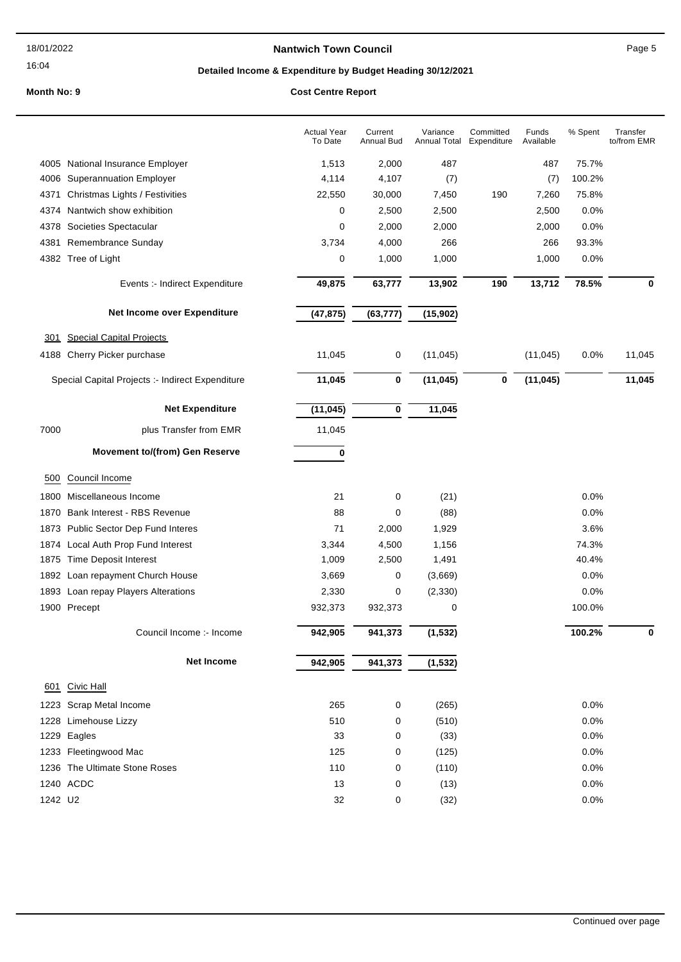### 16:04

### **Nantwich Town Council Council Page 5**

# **Detailed Income & Expenditure by Budget Heading 30/12/2021**

|            |                                                  | <b>Actual Year</b><br>To Date | Current<br>Annual Bud | Variance<br><b>Annual Total</b> | Committed<br>Expenditure | Funds<br>Available | $%$ Spent | Transfer<br>to/from EMR |
|------------|--------------------------------------------------|-------------------------------|-----------------------|---------------------------------|--------------------------|--------------------|-----------|-------------------------|
|            | 4005 National Insurance Employer                 | 1,513                         | 2,000                 | 487                             |                          | 487                | 75.7%     |                         |
| 4006       | <b>Superannuation Employer</b>                   | 4,114                         | 4,107                 | (7)                             |                          | (7)                | 100.2%    |                         |
| 4371       | Christmas Lights / Festivities                   | 22,550                        | 30,000                | 7,450                           | 190                      | 7,260              | 75.8%     |                         |
| 4374       | Nantwich show exhibition                         | 0                             | 2,500                 | 2,500                           |                          | 2,500              | 0.0%      |                         |
| 4378       | Societies Spectacular                            | 0                             | 2,000                 | 2,000                           |                          | 2,000              | 0.0%      |                         |
| 4381       | Remembrance Sunday                               | 3,734                         | 4,000                 | 266                             |                          | 266                | 93.3%     |                         |
|            | 4382 Tree of Light                               | 0                             | 1,000                 | 1,000                           |                          | 1,000              | 0.0%      |                         |
|            | Events :- Indirect Expenditure                   | 49,875                        | 63,777                | 13,902                          | 190                      | 13,712             | 78.5%     | 0                       |
|            | Net Income over Expenditure                      | (47, 875)                     | (63, 777)             | (15, 902)                       |                          |                    |           |                         |
| <u>301</u> | <b>Special Capital Projects</b>                  |                               |                       |                                 |                          |                    |           |                         |
|            | 4188 Cherry Picker purchase                      | 11,045                        | 0                     | (11, 045)                       |                          | (11, 045)          | 0.0%      | 11,045                  |
|            | Special Capital Projects :- Indirect Expenditure | 11,045                        | 0                     | (11, 045)                       | $\bf{0}$                 | (11, 045)          |           | 11,045                  |
|            | <b>Net Expenditure</b>                           | (11, 045)                     | 0                     | 11,045                          |                          |                    |           |                         |
| 7000       | plus Transfer from EMR                           | 11,045                        |                       |                                 |                          |                    |           |                         |
|            | <b>Movement to/(from) Gen Reserve</b>            | 0                             |                       |                                 |                          |                    |           |                         |
| 500        | Council Income                                   |                               |                       |                                 |                          |                    |           |                         |
| 1800       | Miscellaneous Income                             | 21                            | 0                     | (21)                            |                          |                    | 0.0%      |                         |
| 1870       | Bank Interest - RBS Revenue                      | 88                            | 0                     | (88)                            |                          |                    | 0.0%      |                         |
| 1873       | Public Sector Dep Fund Interes                   | 71                            | 2,000                 | 1,929                           |                          |                    | 3.6%      |                         |
| 1874       | Local Auth Prop Fund Interest                    | 3,344                         | 4,500                 | 1,156                           |                          |                    | 74.3%     |                         |
| 1875       | Time Deposit Interest                            | 1,009                         | 2,500                 | 1,491                           |                          |                    | 40.4%     |                         |
| 1892       | Loan repayment Church House                      | 3,669                         | 0                     | (3,669)                         |                          |                    | 0.0%      |                         |
|            | 1893 Loan repay Players Alterations              | 2,330                         | 0                     | (2, 330)                        |                          |                    | 0.0%      |                         |
|            | 1900 Precept                                     | 932,373                       | 932,373               | 0                               |                          |                    | 100.0%    |                         |
|            | Council Income :- Income                         | 942,905                       | 941,373               | (1, 532)                        |                          |                    | 100.2%    | 0                       |
|            | <b>Net Income</b>                                | 942,905                       | 941,373               | (1, 532)                        |                          |                    |           |                         |
| 601        | Civic Hall                                       |                               |                       |                                 |                          |                    |           |                         |
|            | 1223 Scrap Metal Income                          | 265                           | 0                     | (265)                           |                          |                    | 0.0%      |                         |
|            | 1228 Limehouse Lizzy                             | 510                           | 0                     | (510)                           |                          |                    | 0.0%      |                         |
|            | 1229 Eagles                                      | 33                            | 0                     | (33)                            |                          |                    | 0.0%      |                         |
|            | 1233 Fleetingwood Mac                            | 125                           | 0                     | (125)                           |                          |                    | 0.0%      |                         |
|            | 1236 The Ultimate Stone Roses                    | 110                           | 0                     | (110)                           |                          |                    | 0.0%      |                         |
|            | 1240 ACDC                                        | 13                            | 0                     | (13)                            |                          |                    | 0.0%      |                         |
| 1242 U2    |                                                  | 32                            | 0                     | (32)                            |                          |                    | 0.0%      |                         |
|            |                                                  |                               |                       |                                 |                          |                    |           |                         |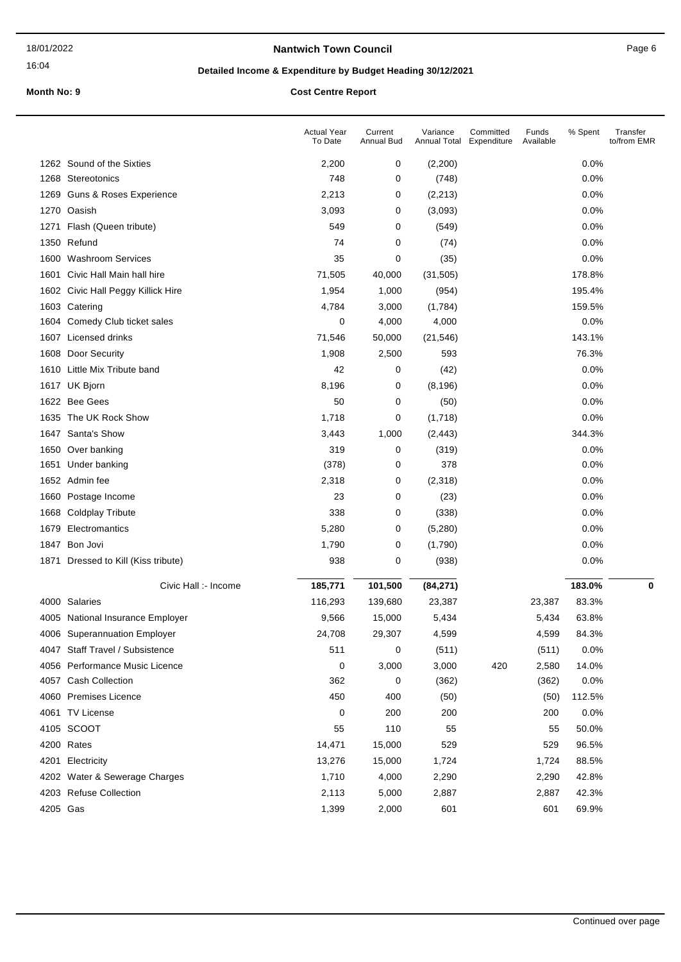### **Nantwich Town Council Council Page 6**

### 16:04

# **Detailed Income & Expenditure by Budget Heading 30/12/2021**

|          |                                    | <b>Actual Year</b><br>To Date | Current<br>Annual Bud | Variance<br>Annual Total | Committed<br>Expenditure | Funds<br>Available | % Spent | Transfer<br>to/from EMR |
|----------|------------------------------------|-------------------------------|-----------------------|--------------------------|--------------------------|--------------------|---------|-------------------------|
|          | 1262 Sound of the Sixties          | 2,200                         | 0                     | (2,200)                  |                          |                    | 0.0%    |                         |
|          | 1268 Stereotonics                  | 748                           | 0                     | (748)                    |                          |                    | 0.0%    |                         |
|          | 1269 Guns & Roses Experience       | 2,213                         | 0                     | (2, 213)                 |                          |                    | 0.0%    |                         |
| 1270     | Oasish                             | 3,093                         | 0                     | (3,093)                  |                          |                    | 0.0%    |                         |
| 1271     | Flash (Queen tribute)              | 549                           | 0                     | (549)                    |                          |                    | 0.0%    |                         |
|          | 1350 Refund                        | 74                            | 0                     | (74)                     |                          |                    | 0.0%    |                         |
| 1600     | <b>Washroom Services</b>           | 35                            | 0                     | (35)                     |                          |                    | 0.0%    |                         |
| 1601     | Civic Hall Main hall hire          | 71,505                        | 40,000                | (31, 505)                |                          |                    | 178.8%  |                         |
|          | 1602 Civic Hall Peggy Killick Hire | 1,954                         | 1,000                 | (954)                    |                          |                    | 195.4%  |                         |
| 1603     | Catering                           | 4,784                         | 3,000                 | (1,784)                  |                          |                    | 159.5%  |                         |
| 1604     | Comedy Club ticket sales           | 0                             | 4,000                 | 4,000                    |                          |                    | 0.0%    |                         |
|          | 1607 Licensed drinks               | 71,546                        | 50,000                | (21, 546)                |                          |                    | 143.1%  |                         |
|          | 1608 Door Security                 | 1,908                         | 2,500                 | 593                      |                          |                    | 76.3%   |                         |
|          | 1610 Little Mix Tribute band       | 42                            | 0                     | (42)                     |                          |                    | 0.0%    |                         |
|          | 1617 UK Bjorn                      | 8,196                         | 0                     | (8, 196)                 |                          |                    | 0.0%    |                         |
|          | 1622 Bee Gees                      | 50                            | 0                     | (50)                     |                          |                    | 0.0%    |                         |
|          | 1635 The UK Rock Show              | 1,718                         | 0                     | (1,718)                  |                          |                    | 0.0%    |                         |
|          | 1647 Santa's Show                  | 3,443                         | 1,000                 | (2, 443)                 |                          |                    | 344.3%  |                         |
|          | 1650 Over banking                  | 319                           | 0                     | (319)                    |                          |                    | 0.0%    |                         |
| 1651     | Under banking                      | (378)                         | 0                     | 378                      |                          |                    | 0.0%    |                         |
|          | 1652 Admin fee                     | 2,318                         | 0                     | (2,318)                  |                          |                    | 0.0%    |                         |
|          | 1660 Postage Income                | 23                            | 0                     | (23)                     |                          |                    | 0.0%    |                         |
| 1668     | <b>Coldplay Tribute</b>            | 338                           | 0                     | (338)                    |                          |                    | 0.0%    |                         |
| 1679     | Electromantics                     | 5,280                         | 0                     | (5,280)                  |                          |                    | 0.0%    |                         |
|          | 1847 Bon Jovi                      | 1,790                         | 0                     | (1,790)                  |                          |                    | 0.0%    |                         |
| 1871     | Dressed to Kill (Kiss tribute)     | 938                           | 0                     | (938)                    |                          |                    | 0.0%    |                         |
|          | Civic Hall :- Income               | 185,771                       | 101,500               | (84, 271)                |                          |                    | 183.0%  | $\mathbf 0$             |
|          | 4000 Salaries                      | 116,293                       | 139,680               | 23,387                   |                          | 23,387             | 83.3%   |                         |
|          | 4005 National Insurance Employer   | 9,566                         | 15,000                | 5,434                    |                          | 5,434              | 63.8%   |                         |
|          | 4006 Superannuation Employer       | 24,708                        | 29,307                | 4,599                    |                          | 4,599              | 84.3%   |                         |
|          | 4047 Staff Travel / Subsistence    | 511                           | 0                     | (511)                    |                          | (511)              | 0.0%    |                         |
|          | 4056 Performance Music Licence     | 0                             | 3,000                 | 3,000                    | 420                      | 2,580              | 14.0%   |                         |
|          | 4057 Cash Collection               | 362                           | 0                     | (362)                    |                          | (362)              | 0.0%    |                         |
|          | 4060 Premises Licence              | 450                           | 400                   | (50)                     |                          | (50)               | 112.5%  |                         |
|          | 4061 TV License                    | 0                             | 200                   | 200                      |                          | 200                | 0.0%    |                         |
|          | 4105 SCOOT                         | 55                            | 110                   | 55                       |                          | 55                 | 50.0%   |                         |
|          | 4200 Rates                         | 14,471                        | 15,000                | 529                      |                          | 529                | 96.5%   |                         |
|          | 4201 Electricity                   | 13,276                        | 15,000                | 1,724                    |                          | 1,724              | 88.5%   |                         |
|          | 4202 Water & Sewerage Charges      | 1,710                         | 4,000                 | 2,290                    |                          | 2,290              | 42.8%   |                         |
|          | 4203 Refuse Collection             | 2,113                         | 5,000                 | 2,887                    |                          | 2,887              | 42.3%   |                         |
| 4205 Gas |                                    | 1,399                         | 2,000                 | 601                      |                          | 601                | 69.9%   |                         |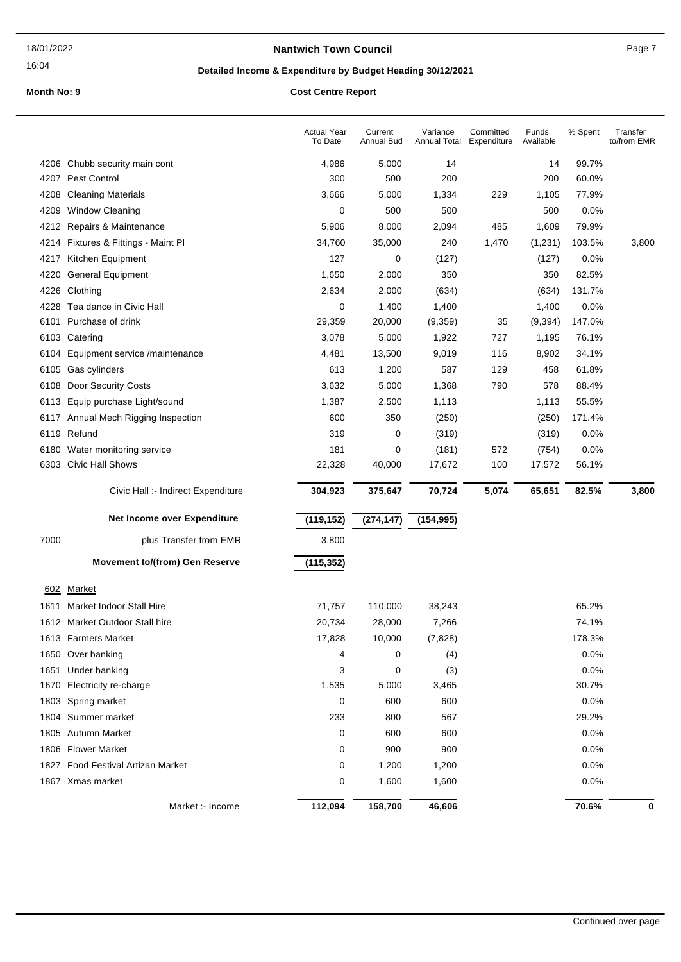### **Nantwich Town Council Council Page 7**

16:04

# **Detailed Income & Expenditure by Budget Heading 30/12/2021**

|              |                                                            | <b>Actual Year</b><br>To Date | Current<br>Annual Bud | Variance<br>Annual Total | Committed<br>Expenditure | Funds<br>Available | % Spent        | Transfer<br>to/from EMR |
|--------------|------------------------------------------------------------|-------------------------------|-----------------------|--------------------------|--------------------------|--------------------|----------------|-------------------------|
|              | 4206 Chubb security main cont                              | 4,986                         | 5,000                 | 14                       |                          | 14                 | 99.7%          |                         |
|              | 4207 Pest Control                                          | 300                           | 500                   | 200                      |                          | 200                | 60.0%          |                         |
| 4208         | <b>Cleaning Materials</b>                                  | 3,666                         | 5,000                 | 1,334                    | 229                      | 1,105              | 77.9%          |                         |
| 4209         | <b>Window Cleaning</b>                                     | 0                             | 500                   | 500                      |                          | 500                | 0.0%           |                         |
|              | 4212 Repairs & Maintenance                                 | 5,906                         | 8,000                 | 2,094                    | 485                      | 1,609              | 79.9%          |                         |
|              | 4214 Fixtures & Fittings - Maint Pl                        | 34,760                        | 35,000                | 240                      | 1,470                    | (1,231)            | 103.5%         | 3,800                   |
| 4217         | Kitchen Equipment                                          | 127                           | 0                     | (127)                    |                          | (127)              | 0.0%           |                         |
| 4220         | <b>General Equipment</b>                                   | 1,650                         | 2,000                 | 350                      |                          | 350                | 82.5%          |                         |
|              | 4226 Clothing                                              | 2,634                         | 2,000                 | (634)                    |                          | (634)              | 131.7%         |                         |
|              | 4228 Tea dance in Civic Hall                               | 0                             | 1,400                 | 1,400                    |                          | 1,400              | 0.0%           |                         |
| 6101         | Purchase of drink                                          | 29,359                        | 20,000                | (9,359)                  | 35                       | (9, 394)           | 147.0%         |                         |
|              | 6103 Catering                                              | 3,078                         | 5,000                 | 1,922                    | 727                      | 1,195              | 76.1%          |                         |
| 6104         | Equipment service /maintenance                             | 4,481                         | 13,500                | 9,019                    | 116                      | 8,902              | 34.1%          |                         |
| 6105         | Gas cylinders                                              | 613                           | 1,200                 | 587                      | 129                      | 458                | 61.8%          |                         |
| 6108         | Door Security Costs                                        | 3,632                         | 5,000                 | 1,368                    | 790                      | 578                | 88.4%          |                         |
|              | 6113 Equip purchase Light/sound                            | 1,387                         | 2,500                 | 1,113                    |                          | 1,113              | 55.5%          |                         |
|              | 6117 Annual Mech Rigging Inspection                        | 600                           | 350                   | (250)                    |                          | (250)              | 171.4%         |                         |
|              | 6119 Refund                                                | 319                           | 0                     | (319)                    |                          | (319)              | 0.0%           |                         |
|              | 6180 Water monitoring service                              | 181                           | 0                     | (181)                    | 572                      | (754)              | 0.0%           |                         |
|              | 6303 Civic Hall Shows                                      | 22,328                        | 40,000                | 17,672                   | 100                      | 17,572             | 56.1%          |                         |
|              | Civic Hall :- Indirect Expenditure                         | 304,923                       | 375,647               | 70,724                   | 5,074                    | 65,651             | 82.5%          | 3,800                   |
|              | Net Income over Expenditure                                | (119, 152)                    | (274, 147)            | (154, 995)               |                          |                    |                |                         |
| 7000         | plus Transfer from EMR                                     | 3,800                         |                       |                          |                          |                    |                |                         |
|              | <b>Movement to/(from) Gen Reserve</b>                      | (115, 352)                    |                       |                          |                          |                    |                |                         |
|              | <b>Market</b>                                              |                               |                       |                          |                          |                    |                |                         |
| 602          |                                                            |                               |                       |                          |                          |                    |                |                         |
| 1611         | Market Indoor Stall Hire<br>1612 Market Outdoor Stall hire | 71,757                        | 110,000               | 38,243                   |                          |                    | 65.2%<br>74.1% |                         |
|              |                                                            | 20,734                        | 28,000                | 7,266                    |                          |                    |                |                         |
|              | 1613 Farmers Market<br>1650 Over banking                   | 17,828                        | 10,000<br>0           | (7,828)                  |                          |                    | 178.3%<br>0.0% |                         |
|              | Under banking                                              | 4<br>3                        | 0                     | (4)                      |                          |                    | 0.0%           |                         |
| 1651<br>1670 | Electricity re-charge                                      | 1,535                         | 5,000                 | (3)<br>3,465             |                          |                    | 30.7%          |                         |
|              | 1803 Spring market                                         | 0                             | 600                   | 600                      |                          |                    | 0.0%           |                         |
|              | 1804 Summer market                                         | 233                           | 800                   | 567                      |                          |                    | 29.2%          |                         |
|              | 1805 Autumn Market                                         | 0                             | 600                   | 600                      |                          |                    | 0.0%           |                         |
|              | 1806 Flower Market                                         | 0                             | 900                   | 900                      |                          |                    | 0.0%           |                         |
|              | 1827 Food Festival Artizan Market                          | 0                             | 1,200                 | 1,200                    |                          |                    | 0.0%           |                         |
|              | 1867 Xmas market                                           | 0                             | 1,600                 | 1,600                    |                          |                    | 0.0%           |                         |
|              |                                                            |                               |                       |                          |                          |                    |                |                         |
|              | Market :- Income                                           | 112,094                       | 158,700               | 46,606                   |                          |                    | 70.6%          | 0                       |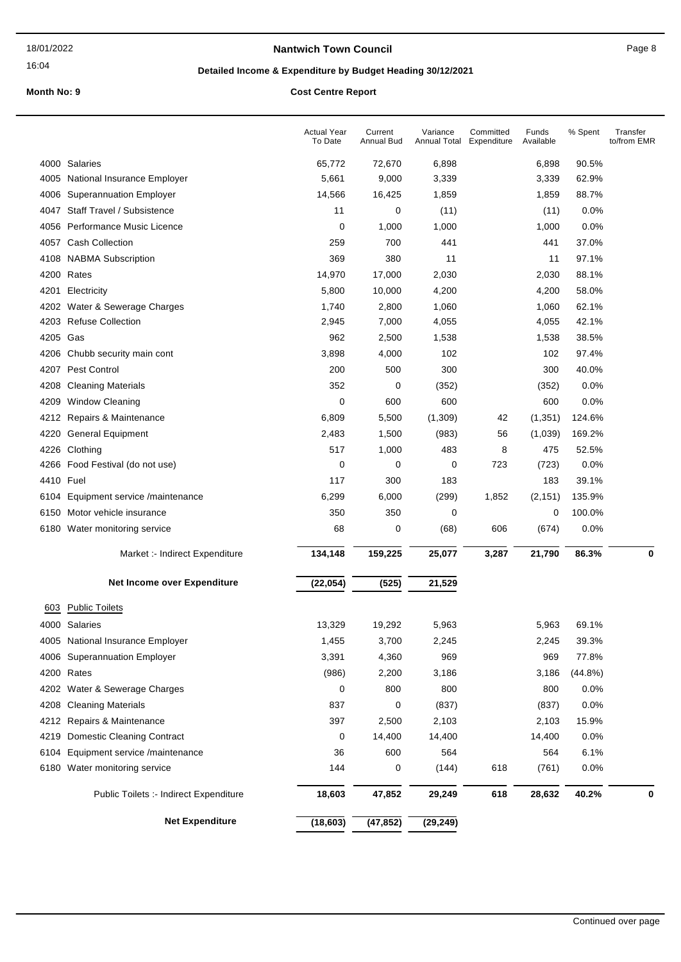### **Nantwich Town Council Council Page 8**

# **Detailed Income & Expenditure by Budget Heading 30/12/2021**

|           |                                        | <b>Actual Year</b><br>To Date | Current<br>Annual Bud | Variance<br>Annual Total | Committed<br>Expenditure | Funds<br>Available | % Spent    | Transfer<br>to/from EMR |
|-----------|----------------------------------------|-------------------------------|-----------------------|--------------------------|--------------------------|--------------------|------------|-------------------------|
|           | 4000 Salaries                          | 65,772                        | 72,670                | 6,898                    |                          | 6,898              | 90.5%      |                         |
| 4005      | National Insurance Employer            | 5,661                         | 9,000                 | 3,339                    |                          | 3,339              | 62.9%      |                         |
| 4006      | <b>Superannuation Employer</b>         | 14,566                        | 16,425                | 1,859                    |                          | 1,859              | 88.7%      |                         |
| 4047      | <b>Staff Travel / Subsistence</b>      | 11                            | 0                     | (11)                     |                          | (11)               | 0.0%       |                         |
| 4056      | Performance Music Licence              | 0                             | 1,000                 | 1,000                    |                          | 1,000              | 0.0%       |                         |
|           | 4057 Cash Collection                   | 259                           | 700                   | 441                      |                          | 441                | 37.0%      |                         |
| 4108      | <b>NABMA Subscription</b>              | 369                           | 380                   | 11                       |                          | 11                 | 97.1%      |                         |
|           | 4200 Rates                             | 14,970                        | 17,000                | 2,030                    |                          | 2,030              | 88.1%      |                         |
| 4201      | Electricity                            | 5,800                         | 10,000                | 4,200                    |                          | 4,200              | 58.0%      |                         |
| 4202      | Water & Sewerage Charges               | 1,740                         | 2,800                 | 1,060                    |                          | 1,060              | 62.1%      |                         |
| 4203      | <b>Refuse Collection</b>               | 2,945                         | 7,000                 | 4,055                    |                          | 4,055              | 42.1%      |                         |
| 4205 Gas  |                                        | 962                           | 2,500                 | 1,538                    |                          | 1,538              | 38.5%      |                         |
| 4206      | Chubb security main cont               | 3,898                         | 4,000                 | 102                      |                          | 102                | 97.4%      |                         |
| 4207      | Pest Control                           | 200                           | 500                   | 300                      |                          | 300                | 40.0%      |                         |
| 4208      | <b>Cleaning Materials</b>              | 352                           | 0                     | (352)                    |                          | (352)              | 0.0%       |                         |
| 4209      | <b>Window Cleaning</b>                 | 0                             | 600                   | 600                      |                          | 600                | 0.0%       |                         |
| 4212      | Repairs & Maintenance                  | 6,809                         | 5,500                 | (1,309)                  | 42                       | (1, 351)           | 124.6%     |                         |
| 4220      | <b>General Equipment</b>               | 2,483                         | 1,500                 | (983)                    | 56                       | (1,039)            | 169.2%     |                         |
| 4226      | Clothing                               | 517                           | 1,000                 | 483                      | 8                        | 475                | 52.5%      |                         |
| 4266      | Food Festival (do not use)             | 0                             | 0                     | 0                        | 723                      | (723)              | 0.0%       |                         |
| 4410 Fuel |                                        | 117                           | 300                   | 183                      |                          | 183                | 39.1%      |                         |
| 6104      | Equipment service /maintenance         | 6,299                         | 6,000                 | (299)                    | 1,852                    | (2, 151)           | 135.9%     |                         |
| 6150      | Motor vehicle insurance                | 350                           | 350                   | 0                        |                          | 0                  | 100.0%     |                         |
|           | 6180 Water monitoring service          | 68                            | 0                     | (68)                     | 606                      | (674)              | 0.0%       |                         |
|           | Market :- Indirect Expenditure         | 134,148                       | 159,225               | 25,077                   | 3,287                    | 21,790             | 86.3%      | $\bf{0}$                |
|           | Net Income over Expenditure            | (22, 054)                     | (525)                 | 21,529                   |                          |                    |            |                         |
| 603       | <b>Public Toilets</b>                  |                               |                       |                          |                          |                    |            |                         |
|           | 4000 Salaries                          | 13,329                        | 19,292                | 5,963                    |                          | 5,963              | 69.1%      |                         |
|           | 4005 National Insurance Employer       | 1,455                         | 3,700                 | 2,245                    |                          | 2,245              | 39.3%      |                         |
|           | 4006 Superannuation Employer           | 3,391                         | 4,360                 | 969                      |                          | 969                | 77.8%      |                         |
|           | 4200 Rates                             | (986)                         | 2,200                 | 3,186                    |                          | 3,186              | $(44.8\%)$ |                         |
|           | 4202 Water & Sewerage Charges          | 0                             | 800                   | 800                      |                          | 800                | 0.0%       |                         |
| 4208      | <b>Cleaning Materials</b>              | 837                           | 0                     | (837)                    |                          | (837)              | 0.0%       |                         |
|           | 4212 Repairs & Maintenance             | 397                           | 2,500                 | 2,103                    |                          | 2,103              | 15.9%      |                         |
|           | 4219 Domestic Cleaning Contract        | 0                             | 14,400                | 14,400                   |                          | 14,400             | 0.0%       |                         |
| 6104      | Equipment service /maintenance         | 36                            | 600                   | 564                      |                          | 564                | 6.1%       |                         |
|           | 6180 Water monitoring service          | 144                           | 0                     | (144)                    | 618                      | (761)              | 0.0%       |                         |
|           |                                        |                               |                       |                          |                          |                    |            |                         |
|           | Public Toilets :- Indirect Expenditure | 18,603                        | 47,852                | 29,249                   | 618                      | 28,632             | 40.2%      | 0                       |
|           | <b>Net Expenditure</b>                 | (18, 603)                     | (47, 852)             | (29, 249)                |                          |                    |            |                         |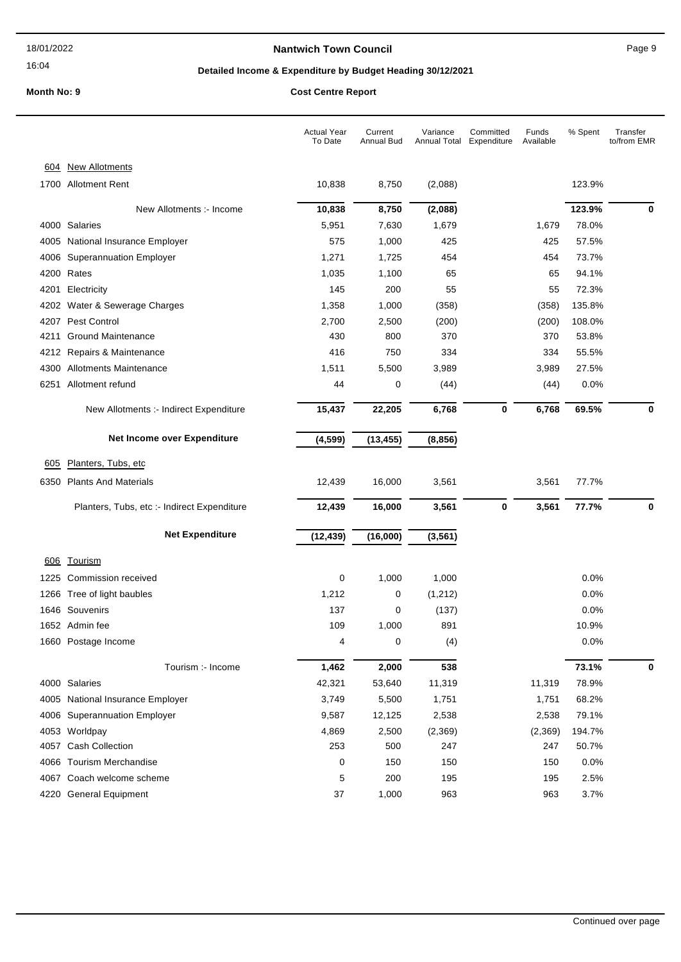### **Nantwich Town Council Nantwich Town Council Page 9**

# **Detailed Income & Expenditure by Budget Heading 30/12/2021**

|            |                                             | <b>Actual Year</b><br>To Date | Current<br><b>Annual Bud</b> | Variance<br>Annual Total | Committed<br>Expenditure | Funds<br>Available | % Spent | Transfer<br>to/from EMR |
|------------|---------------------------------------------|-------------------------------|------------------------------|--------------------------|--------------------------|--------------------|---------|-------------------------|
| 604        | <b>New Allotments</b>                       |                               |                              |                          |                          |                    |         |                         |
|            | 1700 Allotment Rent                         | 10,838                        | 8,750                        | (2,088)                  |                          |                    | 123.9%  |                         |
|            | New Allotments :- Income                    | 10,838                        | 8,750                        | (2,088)                  |                          |                    | 123.9%  | 0                       |
|            | 4000 Salaries                               | 5,951                         | 7,630                        | 1,679                    |                          | 1,679              | 78.0%   |                         |
| 4005       | National Insurance Employer                 | 575                           | 1,000                        | 425                      |                          | 425                | 57.5%   |                         |
| 4006       | <b>Superannuation Employer</b>              | 1,271                         | 1,725                        | 454                      |                          | 454                | 73.7%   |                         |
| 4200       | Rates                                       | 1,035                         | 1,100                        | 65                       |                          | 65                 | 94.1%   |                         |
| 4201       | Electricity                                 | 145                           | 200                          | 55                       |                          | 55                 | 72.3%   |                         |
|            | 4202 Water & Sewerage Charges               | 1,358                         | 1,000                        | (358)                    |                          | (358)              | 135.8%  |                         |
| 4207       | <b>Pest Control</b>                         | 2,700                         | 2,500                        | (200)                    |                          | (200)              | 108.0%  |                         |
| 4211       | <b>Ground Maintenance</b>                   | 430                           | 800                          | 370                      |                          | 370                | 53.8%   |                         |
| 4212       | Repairs & Maintenance                       | 416                           | 750                          | 334                      |                          | 334                | 55.5%   |                         |
|            | 4300 Allotments Maintenance                 | 1,511                         | 5,500                        | 3,989                    |                          | 3,989              | 27.5%   |                         |
| 6251       | Allotment refund                            | 44                            | 0                            | (44)                     |                          | (44)               | 0.0%    |                         |
|            | New Allotments :- Indirect Expenditure      | 15,437                        | 22,205                       | 6,768                    | 0                        | 6,768              | 69.5%   | 0                       |
|            | Net Income over Expenditure                 | (4, 599)                      | (13, 455)                    | (8, 856)                 |                          |                    |         |                         |
| 605        | Planters, Tubs, etc                         |                               |                              |                          |                          |                    |         |                         |
| 6350       | <b>Plants And Materials</b>                 | 12,439                        | 16,000                       | 3,561                    |                          | 3,561              | 77.7%   |                         |
|            | Planters, Tubs, etc :- Indirect Expenditure | 12,439                        | 16,000                       | 3,561                    | 0                        | 3,561              | 77.7%   | 0                       |
|            | <b>Net Expenditure</b>                      | (12, 439)                     | (16,000)                     | (3, 561)                 |                          |                    |         |                         |
| <u>606</u> | <b>Tourism</b>                              |                               |                              |                          |                          |                    |         |                         |
| 1225       | Commission received                         | 0                             | 1,000                        | 1,000                    |                          |                    | 0.0%    |                         |
|            | 1266 Tree of light baubles                  | 1,212                         | 0                            | (1,212)                  |                          |                    | 0.0%    |                         |
|            | 1646 Souvenirs                              | 137                           | 0                            | (137)                    |                          |                    | 0.0%    |                         |
|            | 1652 Admin fee                              | 109                           | 1,000                        | 891                      |                          |                    | 10.9%   |                         |
|            | 1660 Postage Income                         | 4                             | 0                            | (4)                      |                          |                    | 0.0%    |                         |
|            | Tourism :- Income                           | 1,462                         | 2,000                        | 538                      |                          |                    | 73.1%   | $\mathbf 0$             |
|            | 4000 Salaries                               | 42,321                        | 53,640                       | 11,319                   |                          | 11,319             | 78.9%   |                         |
|            | 4005 National Insurance Employer            | 3,749                         | 5,500                        | 1,751                    |                          | 1,751              | 68.2%   |                         |
|            | 4006 Superannuation Employer                | 9,587                         | 12,125                       | 2,538                    |                          | 2,538              | 79.1%   |                         |
|            | 4053 Worldpay                               | 4,869                         | 2,500                        | (2,369)                  |                          | (2,369)            | 194.7%  |                         |
|            | 4057 Cash Collection                        | 253                           | 500                          | 247                      |                          | 247                | 50.7%   |                         |
|            | 4066 Tourism Merchandise                    | 0                             | 150                          | 150                      |                          | 150                | 0.0%    |                         |
|            | 4067 Coach welcome scheme                   | 5                             | 200                          | 195                      |                          | 195                | 2.5%    |                         |
|            | 4220 General Equipment                      | 37                            | 1,000                        | 963                      |                          | 963                | 3.7%    |                         |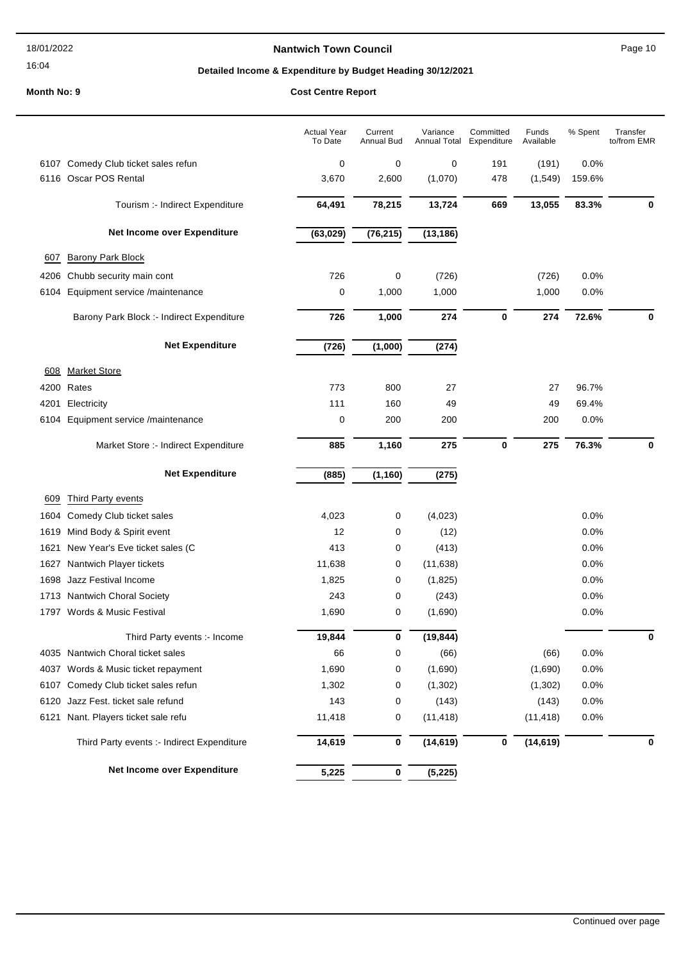### **Nantwich Town Council Page 10**

# **Detailed Income & Expenditure by Budget Heading 30/12/2021**

|      |                                            | <b>Actual Year</b><br>To Date | Current<br>Annual Bud | Variance<br>Annual Total | Committed<br>Expenditure | Funds<br>Available | % Spent | Transfer<br>to/from EMR |
|------|--------------------------------------------|-------------------------------|-----------------------|--------------------------|--------------------------|--------------------|---------|-------------------------|
|      | 6107 Comedy Club ticket sales refun        | 0                             | 0                     | 0                        | 191                      | (191)              | 0.0%    |                         |
|      | 6116 Oscar POS Rental                      | 3,670                         | 2,600                 | (1,070)                  | 478                      | (1, 549)           | 159.6%  |                         |
|      | Tourism :- Indirect Expenditure            | 64,491                        | 78,215                | 13,724                   | 669                      | 13,055             | 83.3%   | 0                       |
|      | Net Income over Expenditure                | (63, 029)                     | (76, 215)             | (13, 186)                |                          |                    |         |                         |
| 607  | Barony Park Block                          |                               |                       |                          |                          |                    |         |                         |
| 4206 | Chubb security main cont                   | 726                           | 0                     | (726)                    |                          | (726)              | 0.0%    |                         |
|      | 6104 Equipment service /maintenance        | 0                             | 1,000                 | 1,000                    |                          | 1,000              | 0.0%    |                         |
|      | Barony Park Block :- Indirect Expenditure  | 726                           | 1,000                 | 274                      | $\bf{0}$                 | 274                | 72.6%   | 0                       |
|      | <b>Net Expenditure</b>                     | (726)                         | (1,000)               | (274)                    |                          |                    |         |                         |
| 608  | <b>Market Store</b>                        |                               |                       |                          |                          |                    |         |                         |
| 4200 | Rates                                      | 773                           | 800                   | 27                       |                          | 27                 | 96.7%   |                         |
| 4201 | Electricity                                | 111                           | 160                   | 49                       |                          | 49                 | 69.4%   |                         |
| 6104 | Equipment service /maintenance             | 0                             | 200                   | 200                      |                          | 200                | 0.0%    |                         |
|      | Market Store :- Indirect Expenditure       | 885                           | 1,160                 | 275                      | 0                        | 275                | 76.3%   | 0                       |
|      | <b>Net Expenditure</b>                     | (885)                         | (1, 160)              | (275)                    |                          |                    |         |                         |
| 609  | Third Party events                         |                               |                       |                          |                          |                    |         |                         |
| 1604 | Comedy Club ticket sales                   | 4,023                         | 0                     | (4,023)                  |                          |                    | 0.0%    |                         |
| 1619 | Mind Body & Spirit event                   | 12                            | 0                     | (12)                     |                          |                    | 0.0%    |                         |
| 1621 | New Year's Eve ticket sales (C             | 413                           | 0                     | (413)                    |                          |                    | 0.0%    |                         |
| 1627 | Nantwich Player tickets                    | 11,638                        | 0                     | (11, 638)                |                          |                    | 0.0%    |                         |
| 1698 | Jazz Festival Income                       | 1,825                         | 0                     | (1,825)                  |                          |                    | 0.0%    |                         |
|      | 1713 Nantwich Choral Society               | 243                           | 0                     | (243)                    |                          |                    | 0.0%    |                         |
| 1797 | Words & Music Festival                     | 1,690                         | 0                     | (1,690)                  |                          |                    | 0.0%    |                         |
|      | Third Party events :- Income               | 19,844                        | 0                     | (19, 844)                |                          |                    |         | 0                       |
|      | 4035 Nantwich Choral ticket sales          | 66                            | 0                     | (66)                     |                          | (66)               | 0.0%    |                         |
| 4037 | Words & Music ticket repayment             | 1,690                         | 0                     | (1,690)                  |                          | (1,690)            | 0.0%    |                         |
| 6107 | Comedy Club ticket sales refun             | 1,302                         | 0                     | (1, 302)                 |                          | (1,302)            | 0.0%    |                         |
| 6120 | Jazz Fest. ticket sale refund              | 143                           | 0                     | (143)                    |                          | (143)              | 0.0%    |                         |
| 6121 | Nant. Players ticket sale refu             | 11,418                        | 0                     | (11, 418)                |                          | (11, 418)          | 0.0%    |                         |
|      | Third Party events :- Indirect Expenditure | 14,619                        | 0                     | (14, 619)                | 0                        | (14, 619)          |         | 0                       |
|      | Net Income over Expenditure                | 5,225                         | 0                     | (5, 225)                 |                          |                    |         |                         |